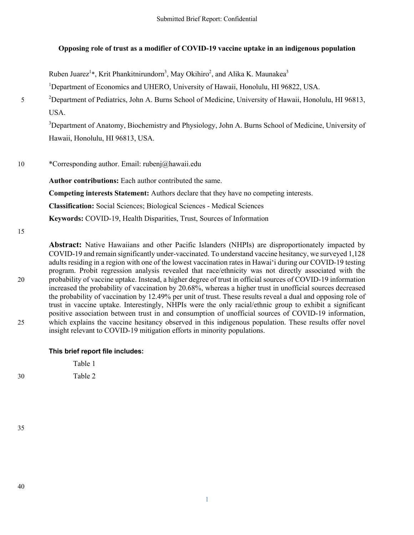# **Opposing role of trust as a modifier of COVID-19 vaccine uptake in an indigenous population**

Ruben Juarez<sup>1\*</sup>, Krit Phankitnirundorn<sup>3</sup>, May Okihiro<sup>2</sup>, and Alika K. Maunakea<sup>3</sup>

<sup>1</sup>Department of Economics and UHERO, University of Hawaii, Honolulu, HI 96822, USA.

<sup>2</sup> Department of Pediatrics, John A. Burns School of Medicine, University of Hawaii, Honolulu, HI 96813, USA.

<sup>3</sup>Department of Anatomy, Biochemistry and Physiology, John A. Burns School of Medicine, University of Hawaii, Honolulu, HI 96813, USA.

10 \*Corresponding author. Email: rubenj@hawaii.edu

**Author contributions:** Each author contributed the same.

**Competing interests Statement:** Authors declare that they have no competing interests.

**Classification:** Social Sciences; Biological Sciences - Medical Sciences

**Keywords:** COVID-19, Health Disparities, Trust, Sources of Information

15

**Abstract:** Native Hawaiians and other Pacific Islanders (NHPIs) are disproportionately impacted by COVID-19 and remain significantly under-vaccinated. To understand vaccine hesitancy, we surveyed 1,128 adults residing in a region with one of the lowest vaccination rates in Hawaiʻi during our COVID-19 testing program. Probit regression analysis revealed that race/ethnicity was not directly associated with the 20 probability of vaccine uptake. Instead, a higher degree of trust in official sources of COVID-19 information increased the probability of vaccination by 20.68%, whereas a higher trust in unofficial sources decreased the probability of vaccination by 12.49% per unit of trust. These results reveal a dual and opposing role of trust in vaccine uptake. Interestingly, NHPIs were the only racial/ethnic group to exhibit a significant positive association between trust in and consumption of unofficial sources of COVID-19 information, 25 which explains the vaccine hesitancy observed in this indigenous population. These results offer novel insight relevant to COVID-19 mitigation efforts in minority populations.

# **This brief report file includes:**

Table 1 30 Table 2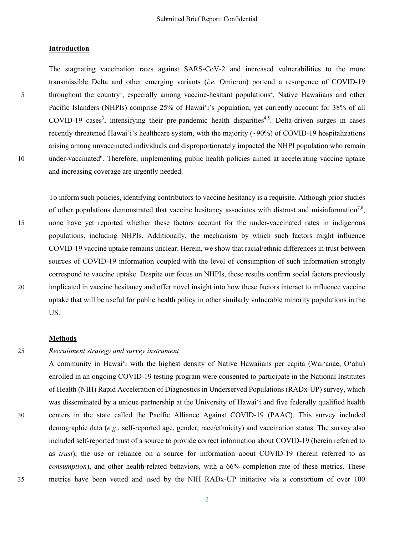### **Introduction**

The stagnating vaccination rates against SARS-CoV-2 and increased vulnerabilities to the more transmissible Delta and other emerging variants (*i.e.* Omicron) portend a resurgence of COVID-19 5 throughout the country<sup>1</sup>, especially among vaccine-hesitant populations<sup>2</sup>. Native Hawaiians and other Pacific Islanders (NHPIs) comprise 25% of Hawaiʻi's population, yet currently account for 38% of all COVID-19 cases<sup>3</sup>, intensifying their pre-pandemic health disparities<sup>4,5</sup>. Delta-driven surges in cases recently threatened Hawaiʻi's healthcare system, with the majority (~90%) of COVID-19 hospitalizations arising among unvaccinated individuals and disproportionately impacted the NHPI population who remain 10 . under-vaccinated<sup>6</sup>. Therefore, implementing public health policies aimed at accelerating vaccine uptake and increasing coverage are urgently needed.

To inform such policies, identifying contributors to vaccine hesitancy is a requisite. Although prior studies of other populations demonstrated that vaccine hesitancy associates with distrust and misinformation<sup>7,8</sup>, 15 none have yet reported whether these factors account for the under-vaccinated rates in indigenous populations, including NHPIs. Additionally, the mechanism by which such factors might influence COVID-19 vaccine uptake remains unclear. Herein, we show that racial/ethnic differences in trust between sources of COVID-19 information coupled with the level of consumption of such information strongly correspond to vaccine uptake. Despite our focus on NHPIs, these results confirm social factors previously 20 implicated in vaccine hesitancy and offer novel insight into how these factors interact to influence vaccine uptake that will be useful for public health policy in other similarly vulnerable minority populations in the US.

### **Methods**

## 25 *Recruitment strategy and survey instrument*

A community in Hawaiʻi with the highest density of Native Hawaiians per capita (Waiʻanae, Oʻahu) enrolled in an ongoing COVID-19 testing program were consented to participate in the National Institutes of Health (NIH) Rapid Acceleration of Diagnostics in Underserved Populations (RADx-UP) survey, which was disseminated by a unique partnership at the University of Hawaiʻi and five federally qualified health 30 centers in the state called the Pacific Alliance Against COVID-19 (PAAC). This survey included demographic data (*e.g*., self-reported age, gender, race/ethnicity) and vaccination status. The survey also included self-reported trust of a source to provide correct information about COVID-19 (herein referred to as *trust*), the use or reliance on a source for information about COVID-19 (herein referred to as *consumption*), and other health-related behaviors, with a 66% completion rate of these metrics. These 35 metrics have been vetted and used by the NIH RADx-UP initiative via a consortium of over 100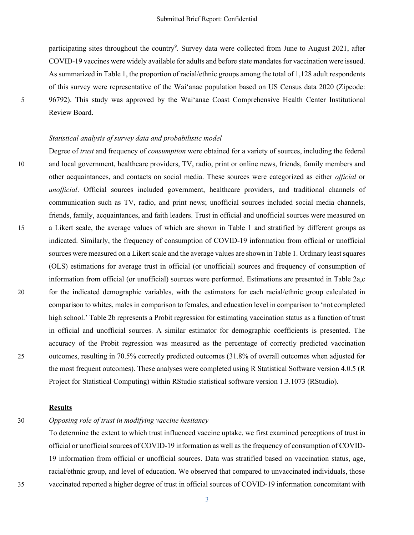participating sites throughout the country<sup>9</sup>. Survey data were collected from June to August 2021, after COVID-19 vaccines were widely available for adults and before state mandates for vaccination were issued. As summarized in Table 1, the proportion of racial/ethnic groups among the total of 1,128 adult respondents of this survey were representative of the Waiʻanae population based on US Census data 2020 (Zipcode: 5 96792). This study was approved by the Waiʻanae Coast Comprehensive Health Center Institutional Review Board.

### *Statistical analysis of survey data and probabilistic model*

Degree of *trust* and frequency of *consumption* were obtained for a variety of sources, including the federal 10 and local government, healthcare providers, TV, radio, print or online news, friends, family members and other acquaintances, and contacts on social media. These sources were categorized as either *official* or *unofficial*. Official sources included government, healthcare providers, and traditional channels of communication such as TV, radio, and print news; unofficial sources included social media channels, friends, family, acquaintances, and faith leaders. Trust in official and unofficial sources were measured on 15 a Likert scale, the average values of which are shown in Table 1 and stratified by different groups as indicated. Similarly, the frequency of consumption of COVID-19 information from official or unofficial sources were measured on a Likert scale and the average values are shown in Table 1. Ordinary least squares (OLS) estimations for average trust in official (or unofficial) sources and frequency of consumption of information from official (or unofficial) sources were performed. Estimations are presented in Table 2a,c 20 for the indicated demographic variables, with the estimators for each racial/ethnic group calculated in comparison to whites, males in comparison to females, and education level in comparison to 'not completed high school.' Table 2b represents a Probit regression for estimating vaccination status as a function of trust in official and unofficial sources. A similar estimator for demographic coefficients is presented. The accuracy of the Probit regression was measured as the percentage of correctly predicted vaccination 25 outcomes, resulting in 70.5% correctly predicted outcomes (31.8% of overall outcomes when adjusted for the most frequent outcomes). These analyses were completed using R Statistical Software version 4.0.5 (R Project for Statistical Computing) within RStudio statistical software version 1.3.1073 (RStudio).

## **Results**

# 30 *Opposing role of trust in modifying vaccine hesitancy*

To determine the extent to which trust influenced vaccine uptake, we first examined perceptions of trust in official or unofficial sources of COVID-19 information as well as the frequency of consumption of COVID-19 information from official or unofficial sources. Data was stratified based on vaccination status, age, racial/ethnic group, and level of education. We observed that compared to unvaccinated individuals, those 35 vaccinated reported a higher degree of trust in official sources of COVID-19 information concomitant with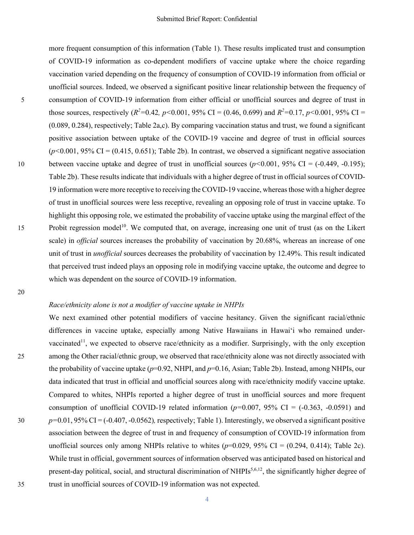more frequent consumption of this information (Table 1). These results implicated trust and consumption of COVID-19 information as co-dependent modifiers of vaccine uptake where the choice regarding vaccination varied depending on the frequency of consumption of COVID-19 information from official or unofficial sources. Indeed, we observed a significant positive linear relationship between the frequency of 5 consumption of COVID-19 information from either official or unofficial sources and degree of trust in those sources, respectively  $(R^2=0.42, p<0.001, 95\% \text{ CI} = (0.46, 0.699) \text{ and } R^2=0.17, p<0.001, 95\% \text{ CI} =$ (0.089, 0.284), respectively; Table 2a,c). By comparing vaccination status and trust, we found a significant positive association between uptake of the COVID-19 vaccine and degree of trust in official sources  $(p<0.001, 95\% \text{ CI} = (0.415, 0.651);$  Table 2b). In contrast, we observed a significant negative association 10 between vaccine uptake and degree of trust in unofficial sources (*p<*0.001, 95% CI = (-0.449, -0.195); Table 2b). These results indicate that individuals with a higher degree of trust in official sources of COVID-19 information were more receptive to receiving the COVID-19 vaccine, whereas those with a higher degree of trust in unofficial sources were less receptive, revealing an opposing role of trust in vaccine uptake. To highlight this opposing role, we estimated the probability of vaccine uptake using the marginal effect of the 15 . Probit regression model<sup>10</sup>. We computed that, on average, increasing one unit of trust (as on the Likert scale) in *official* sources increases the probability of vaccination by 20.68%, whereas an increase of one unit of trust in *unofficial* sources decreases the probability of vaccination by 12.49%. This result indicated that perceived trust indeed plays an opposing role in modifying vaccine uptake, the outcome and degree to which was dependent on the source of COVID-19 information.

20

### *Race/ethnicity alone is not a modifier of vaccine uptake in NHPIs*

We next examined other potential modifiers of vaccine hesitancy. Given the significant racial/ethnic differences in vaccine uptake, especially among Native Hawaiians in Hawaiʻi who remained undervaccinated<sup>11</sup>, we expected to observe race/ethnicity as a modifier. Surprisingly, with the only exception 25 among the Other racial/ethnic group, we observed that race/ethnicity alone was not directly associated with the probability of vaccine uptake (*p*=0.92, NHPI, and *p*=0.16, Asian; Table 2b). Instead, among NHPIs, our data indicated that trust in official and unofficial sources along with race/ethnicity modify vaccine uptake. Compared to whites, NHPIs reported a higher degree of trust in unofficial sources and more frequent consumption of unofficial COVID-19 related information  $(p=0.007, 95\% \text{ CI} = (-0.363, -0.0591)$  and 30 *p=*0.01, 95% CI = (-0.407, -0.0562)*,* respectively; Table 1). Interestingly, we observed a significant positive association between the degree of trust in and frequency of consumption of COVID-19 information from unofficial sources only among NHPIs relative to whites  $(p=0.029, 95\% \text{ CI} = (0.294, 0.414)$ ; Table 2c). While trust in official, government sources of information observed was anticipated based on historical and present-day political, social, and structural discrimination of NHPIs<sup>5,6,12</sup>, the significantly higher degree of 35 trust in unofficial sources of COVID-19 information was not expected.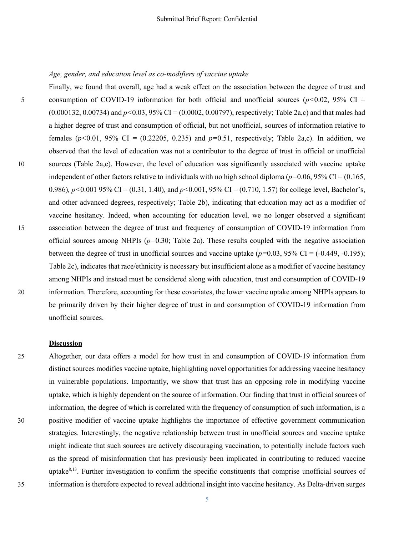Finally, we found that overall, age had a weak effect on the association between the degree of trust and 5 consumption of COVID-19 information for both official and unofficial sources (*p<*0.02, 95% CI = (0.000132, 0.00734) and *p<*0.03, 95% CI = (0.0002, 0.00797), respectively; Table 2a,c) and that males had a higher degree of trust and consumption of official, but not unofficial, sources of information relative to females ( $p$ <0.01, 95% CI = (0.22205, 0.235) and  $p$ =0.51, respectively; Table 2a,c). In addition, we observed that the level of education was not a contributor to the degree of trust in official or unofficial 10 sources (Table 2a,c). However, the level of education was significantly associated with vaccine uptake independent of other factors relative to individuals with no high school diploma ( $p=0.06, 95\%$  CI = (0.165, 0.986)*, p<*0.001 95% CI = (0.31, 1.40)*,* and *p<*0.001, 95% CI = (0.710, 1.57) for college level, Bachelor's, and other advanced degrees, respectively; Table 2b), indicating that education may act as a modifier of vaccine hesitancy. Indeed, when accounting for education level, we no longer observed a significant 15 association between the degree of trust and frequency of consumption of COVID-19 information from official sources among NHPIs (*p=*0.30; Table 2a). These results coupled with the negative association between the degree of trust in unofficial sources and vaccine uptake  $(p=0.03, 95\% \text{ CI} = (-0.449, -0.195))$ ; Table 2c), indicates that race/ethnicity is necessary but insufficient alone as a modifier of vaccine hesitancy among NHPIs and instead must be considered along with education, trust and consumption of COVID-19 20 information. Therefore, accounting for these covariates, the lower vaccine uptake among NHPIs appears to be primarily driven by their higher degree of trust in and consumption of COVID-19 information from unofficial sources.

#### **Discussion**

25 Altogether, our data offers a model for how trust in and consumption of COVID-19 information from distinct sources modifies vaccine uptake, highlighting novel opportunities for addressing vaccine hesitancy in vulnerable populations. Importantly, we show that trust has an opposing role in modifying vaccine uptake, which is highly dependent on the source of information. Our finding that trust in official sources of information, the degree of which is correlated with the frequency of consumption of such information, is a 30 positive modifier of vaccine uptake highlights the importance of effective government communication strategies. Interestingly, the negative relationship between trust in unofficial sources and vaccine uptake might indicate that such sources are actively discouraging vaccination, to potentially include factors such as the spread of misinformation that has previously been implicated in contributing to reduced vaccine uptake $8,13$ . Further investigation to confirm the specific constituents that comprise unofficial sources of 35 information is therefore expected to reveal additional insight into vaccine hesitancy. As Delta-driven surges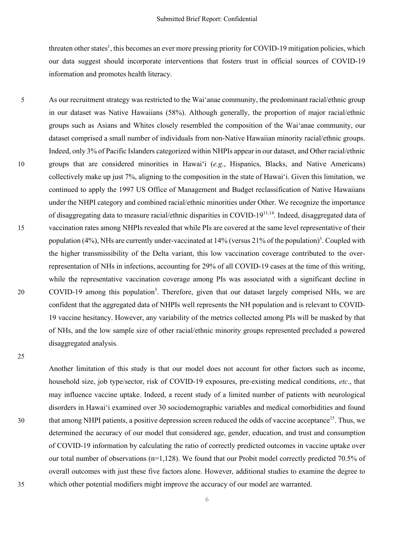threaten other states<sup>1</sup>, this becomes an ever more pressing priority for COVID-19 mitigation policies, which our data suggest should incorporate interventions that fosters trust in official sources of COVID-19 information and promotes health literacy.

5 As our recruitment strategy was restricted to the Waiʻanae community, the predominant racial/ethnic group in our dataset was Native Hawaiians (58%). Although generally, the proportion of major racial/ethnic groups such as Asians and Whites closely resembled the composition of the Waiʻanae community, our dataset comprised a small number of individuals from non-Native Hawaiian minority racial/ethnic groups. Indeed, only 3% of Pacific Islanders categorized within NHPIs appear in our dataset, and Other racial/ethnic 10 groups that are considered minorities in Hawaiʻi (*e.g*., Hispanics, Blacks, and Native Americans) collectively make up just 7%, aligning to the composition in the state of Hawaiʻi. Given this limitation, we continued to apply the 1997 US Office of Management and Budget reclassification of Native Hawaiians under the NHPI category and combined racial/ethnic minorities under Other. We recognize the importance of disaggregating data to measure racial/ethnic disparities in COVID-1911,14. Indeed, disaggregated data of 15 vaccination rates among NHPIs revealed that while PIs are covered at the same level representative of their population (4%), NHs are currently under-vaccinated at 14% (versus 21% of the population)<sup>3</sup>. Coupled with the higher transmissibility of the Delta variant, this low vaccination coverage contributed to the overrepresentation of NHs in infections, accounting for 29% of all COVID-19 cases at the time of this writing, while the representative vaccination coverage among PIs was associated with a significant decline in 20 . COVID-19 among this population<sup>3</sup>. Therefore, given that our dataset largely comprised NHs, we are confident that the aggregated data of NHPIs well represents the NH population and is relevant to COVID-19 vaccine hesitancy. However, any variability of the metrics collected among PIs will be masked by that of NHs, and the low sample size of other racial/ethnic minority groups represented precluded a powered disaggregated analysis.

Another limitation of this study is that our model does not account for other factors such as income, household size, job type/sector, risk of COVID-19 exposures, pre-existing medical conditions, *etc*., that may influence vaccine uptake. Indeed, a recent study of a limited number of patients with neurological disorders in Hawaiʻi examined over 30 sociodemographic variables and medical comorbidities and found that among NHPI patients, a positive depression screen reduced the odds of vaccine acceptance<sup>15</sup>. Thus, we determined the accuracy of our model that considered age, gender, education, and trust and consumption of COVID-19 information by calculating the ratio of correctly predicted outcomes in vaccine uptake over our total number of observations (n=1,128). We found that our Probit model correctly predicted 70.5% of overall outcomes with just these five factors alone. However, additional studies to examine the degree to 35 which other potential modifiers might improve the accuracy of our model are warranted.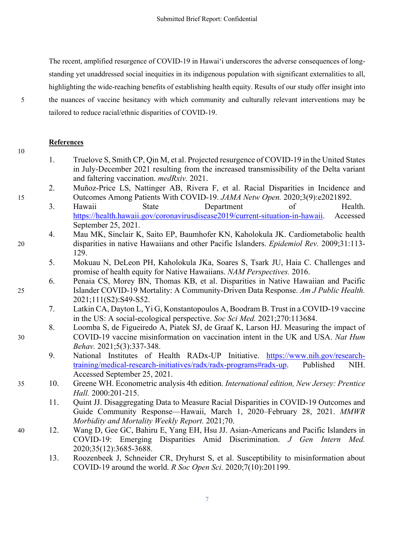The recent, amplified resurgence of COVID-19 in Hawaiʻi underscores the adverse consequences of longstanding yet unaddressed social inequities in its indigenous population with significant externalities to all, highlighting the wide-reaching benefits of establishing health equity. Results of our study offer insight into 5 the nuances of vaccine hesitancy with which community and culturally relevant interventions may be tailored to reduce racial/ethnic disparities of COVID-19.

## **References**

- 1. Truelove S, Smith CP, Qin M, et al. Projected resurgence of COVID-19 in the United States in July-December 2021 resulting from the increased transmissibility of the Delta variant and faltering vaccination. *medRxiv.* 2021.
- 2. Muñoz-Price LS, Nattinger AB, Rivera F, et al. Racial Disparities in Incidence and 15 Outcomes Among Patients With COVID-19. *JAMA Netw Open.* 2020;3(9):e2021892.
	- 3. Hawaii State Department of Health. https://health.hawaii.gov/coronavirusdisease2019/current-situation-in-hawaii. Accessed September 25, 2021.
- 4. Mau MK, Sinclair K, Saito EP, Baumhofer KN, Kaholokula JK. Cardiometabolic health 20 disparities in native Hawaiians and other Pacific Islanders. *Epidemiol Rev.* 2009;31:113- 129.
	- 5. Mokuau N, DeLeon PH, Kaholokula JKa, Soares S, Tsark JU, Haia C. Challenges and promise of health equity for Native Hawaiians. *NAM Perspectives.* 2016.
- 6. Penaia CS, Morey BN, Thomas KB, et al. Disparities in Native Hawaiian and Pacific 25 Islander COVID-19 Mortality: A Community-Driven Data Response. *Am J Public Health.*  2021;111(S2):S49-S52.
	- 7. Latkin CA, Dayton L, Yi G, Konstantopoulos A, Boodram B. Trust in a COVID-19 vaccine in the US: A social-ecological perspective. *Soc Sci Med.* 2021;270:113684.
- 8. Loomba S, de Figueiredo A, Piatek SJ, de Graaf K, Larson HJ. Measuring the impact of 30 COVID-19 vaccine misinformation on vaccination intent in the UK and USA. *Nat Hum Behav.* 2021;5(3):337-348.
	- 9. National Institutes of Health RADx-UP Initiative. https://www.nih.gov/researchtraining/medical-research-initiatives/radx/radx-programs#radx-up. Published NIH. Accessed September 25, 2021.
- 35 10. Greene WH. Econometric analysis 4th edition. *International edition, New Jersey: Prentice Hall.* 2000:201-215.
	- 11. Quint JJ. Disaggregating Data to Measure Racial Disparities in COVID-19 Outcomes and Guide Community Response—Hawaii, March 1, 2020–February 28, 2021. *MMWR Morbidity and Mortality Weekly Report.* 2021;70.
- 40 12. Wang D, Gee GC, Bahiru E, Yang EH, Hsu JJ. Asian-Americans and Pacific Islanders in COVID-19: Emerging Disparities Amid Discrimination. *J Gen Intern Med.*  2020;35(12):3685-3688.
	- 13. Roozenbeek J, Schneider CR, Dryhurst S, et al. Susceptibility to misinformation about COVID-19 around the world. *R Soc Open Sci.* 2020;7(10):201199.

7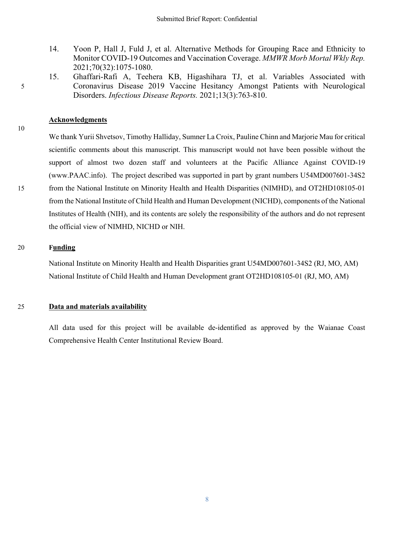- 14. Yoon P, Hall J, Fuld J, et al. Alternative Methods for Grouping Race and Ethnicity to Monitor COVID-19 Outcomes and Vaccination Coverage. *MMWR Morb Mortal Wkly Rep.*  2021;70(32):1075-1080.
- 15. Ghaffari-Rafi A, Teehera KB, Higashihara TJ, et al. Variables Associated with 5 Coronavirus Disease 2019 Vaccine Hesitancy Amongst Patients with Neurological Disorders. *Infectious Disease Reports.* 2021;13(3):763-810.

## **Acknowledgments**

We thank Yurii Shvetsov, Timothy Halliday, Sumner La Croix, Pauline Chinn and Marjorie Mau for critical scientific comments about this manuscript. This manuscript would not have been possible without the support of almost two dozen staff and volunteers at the Pacific Alliance Against COVID-19 (www.PAAC.info). The project described was supported in part by grant numbers U54MD007601-34S2 15 from the National Institute on Minority Health and Health Disparities (NIMHD), and OT2HD108105-01 from the National Institute of Child Health and Human Development (NICHD), components of the National Institutes of Health (NIH), and its contents are solely the responsibility of the authors and do not represent the official view of NIMHD, NICHD or NIH.

### 20 **Funding**

National Institute on Minority Health and Health Disparities grant U54MD007601-34S2 (RJ, MO, AM) National Institute of Child Health and Human Development grant OT2HD108105-01 (RJ, MO, AM)

### 25 **Data and materials availability**

All data used for this project will be available de-identified as approved by the Waianae Coast Comprehensive Health Center Institutional Review Board.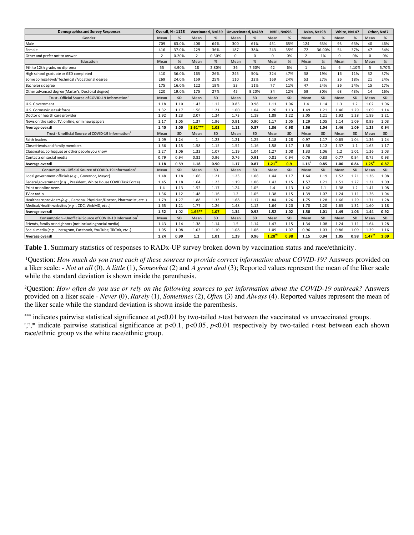| <b>Demographics and Survey Responses</b>                                 |                | Overall, $N = 1128$ |                | Vaccinated. N=639 | Unvaccinated, N=489 |           | <b>NHPI. N=696</b> |      |                   | Asian. N=198 | <b>White. N=147</b> |           |                       | Other. N=87 |
|--------------------------------------------------------------------------|----------------|---------------------|----------------|-------------------|---------------------|-----------|--------------------|------|-------------------|--------------|---------------------|-----------|-----------------------|-------------|
| Gender                                                                   | Mean           | %                   | Mean           | %                 | Mean                | %         | Mean               | %    | Mean              | %            | Mean                | %         | Mean                  | %           |
| Male                                                                     | 709            | 63.0%               | 408            | 64%               | 300                 | 61%       | 451                | 65%  | 124               | 63%          | 93                  | 63%       | 40                    | 46%         |
| Female                                                                   | 416            | 37.0%               | 229            | 36%               | 187                 | 38%       | 243                | 35%  | 72                | 36.00%       | 54                  | 37%       | 47                    | 54%         |
| Other and prefer not to answer                                           | $\overline{2}$ | 0.20%               | $\overline{2}$ | 0.30%             | $\Omega$            | 0         | $\mathbf 0$        | 0%   | $\overline{2}$    | 1%           | $\mathbf 0$         | 0%        | 0                     | 0%          |
| Education                                                                | Mean           | %                   | Mean           | %                 | Mean                | %         | Mean               | %    | Mean              | %            | Mean                | %         | Mean                  | %           |
| 9th to 12th grade, no diploma                                            | 55             | 4.90%               | 18             | 2.80%             | 36                  | 7.60%     | 42                 | 6%   | 1                 | 1%           | 6                   | 4.10%     | 5                     | 5.70%       |
| High school graduate or GED completed                                    | 410            | 36.0%               | 165            | 26%               | 245                 | 50%       | 324                | 47%  | 38                | 19%          | 16                  | 11%       | 32                    | 37%         |
| Some college level/ Technical / Vocational degree                        | 269            | 24.0%               | 159            | 25%               | 110                 | 22%       | 169                | 24%  | 53                | 27%          | 26                  | 18%       | 21                    | 24%         |
| Bachelor's degree                                                        | 175            | 16.0%               | 122            | 19%               | 53                  | 11%       | 77                 | 11%  | 47                | 24%          | 36                  | 24%       | 15                    | 17%         |
| Other advanced degree (Master's, Doctoral degree)                        | 220            | 19.0%               | 175            | 27%               | 45                  | 9.20%     | 84                 | 12%  | 59                | 30%          | 63                  | 43%       | 14                    | 16%         |
| Trust - Official Source of COVID-19 Information <sup>1</sup>             | Mean           | SD                  | Mean           | <b>SD</b>         | Mean                | SD        | Mean               | SD   | Mean              | SD           | Mean                | SD        | Mean                  | SD          |
| U.S. Government                                                          | 1.18           | 1.10                | 1.43           | 1.12              | 0.85                | 0.98      | 1.11               | 1.06 | 1.4               | 1.14         | 1.3                 | 1.2       | 1.02                  | 1.06        |
| U.S. Coronavirus task force                                              | 1.32           | 1.17                | 1.56           | 1.21              | 1.00                | 1.04      | 1.26               | 1.13 | 1.49              | 1.21         | 1.46                | 1.29      | 1.09                  | 1.14        |
| Doctor or health care provider                                           | 1.92           | 1.23                | 2.07           | 1.24              | 1.73                | 1.18      | 1.89               | 1.22 | 2.05              | 1.21         | 1.92                | 1.28      | 1.89                  | 1.21        |
| News on the radio, TV, online, or in newspapers                          | 1.17           | 1.05                | 1.37           | 1.96              | 0.91                | 0.90      | 1.17               | 1.05 | 1.29              | 1.05         | 1.14                | 1.09      | 0.99                  | 1.03        |
| Average overall                                                          | 1.40           | 1.00                | $1.61***$      | 1.05              | 1.12                | 0.87      | 1.36               | 0.98 | 1.56              | 1.04         | 1.46                | 1.09      | 1.25                  | 0.94        |
| Trust - Unofficial Source of COVID-19 Information <sup>1</sup>           | Mean           | SD                  | Mean           | <b>SD</b>         | Mean                | <b>SD</b> | Mean               | SD   | Mean              | SD           | Mean                | SD        | Mean                  | SD          |
| <b>Faith leaders</b>                                                     | 1.09           | 1.24                | 1              | 1.23              | 1.21                | 1.25      | 1.18               | 1.28 | 0.97              | 1.17         | 0.65                | 1.04      | 1.36                  | 1.24        |
| Close friends and family members                                         | 1.56           | 1.15                | 1.58           | 1.15              | 1.52                | 1.16      | 1.58               | 1.17 | 1.58              | 1.12         | 1.37                | 1.1       | 1.63                  | 1.17        |
| Classmates, colleagues or other people you know                          | 1.27           | 1.06                | 1.33           | 1.07              | 1.19                | 1.04      | 1.27               | 1.08 | 1.33              | 1.06         | 1.2                 | 1.01      | 1.26                  | 1.03        |
| Contacts on social media                                                 | 0.79           | 0.94                | 0.82           | 0.96              | 0.76                | 0.91      | 0.81               | 0.94 | 0.76              | 0.83         | 0.77                | 0.94      | 0.75                  | 0.93        |
| Average overall                                                          | 1.18           | 0.89                | 1.18           | 0.90              | 1.17                | 0.87      | $1.21^{\text{tt}}$ | 0.9  | 1.16 <sup>t</sup> | 0.85         | 1.00                | 0.84      | $1.25$ <sup>tt</sup>  | 0.87        |
| Consumption - Official Source of COVID-19 Information <sup>2</sup>       | Mean           | <b>SD</b>           | Mean           | <b>SD</b>         | Mean                | <b>SD</b> | Mean               | SD   | Mean              | SD           | Mean                | SD        | Mean                  | SD          |
| Local government officials (e.g., Governor, Mayor)                       | 1.48           | 1.18                | 1.66           | 1.21              | 1.23                | 1.08      | 1.44               | 1.17 | 1.64              | 1.19         | 1.52                | 1.21      | 1.36                  | 1.08        |
| Federal government (e.g., President, White House COVID Task Force)       | 1.45           | 1.18                | 1.64           | 1.23              | 1.19                | 1.06      | 1.42               | 1.15 | 1.57              | 1.21         | 1.51                | 1.27      | 1.31                  | 1.09        |
| Print or online news                                                     | 1.4            | 1.13                | 1.52           | 1.17              | 1.24                | 1.05      | 1.4                | 1.13 | 1.42              | 1.1          | 1.38                | 1.2       | 1.41                  | 1.08        |
| TV or radio                                                              | 1.36           | 1.12                | 1.48           | 1.16              | 1.2                 | 1.05      | 1.38               | 1.15 | 1.39              | 1.07         | 1.24                | 1.11      | 1.26                  | 1.04        |
| Healthcare providers (e.g., Personal Physician/Doctor, Pharmacist, etc.) | 1.79           | 1.27                | 1.88           | 1.33              | 1.68                | 1.17      | 1.84               | 1.26 | 1.75              | 1.28         | 1.66                | 1.29      | 1.71                  | 1.28        |
| Medical/Health websites (e.q., CDC, WebMD, etc.)                         | 1.65           | 1.21                | 1.77           | 1.26              | 1.48                | 1.12      | 1.64               | 1.20 | 1.70              | 1.20         | 1.65                | 1.31      | 1.60                  | 1.18        |
| Average overall                                                          | 1.52           | 1.02                | $1.66***$      | 1.07              | 1.34                | 0.92      | 1.52               | 1.02 | 1.58              | 1.01         | 1.49                | 1.06      | 1.44                  | 0.92        |
| Consumption - Unofficial Source of COVID-19 Information <sup>2</sup>     | Mean           | <b>SD</b>           | Mean           | <b>SD</b>         | Mean                | SD        | Mean               | SD   | Mean              | SD           | Mean                | <b>SD</b> | Mean                  | <b>SD</b>   |
| Friends, family or neighbors (not including social media)                | 1.43           | 1.14                | 1.38           | 1.14              | 1.5                 | 1.14      | 1.47               | 1.15 | 1.34              | 1.08         | 1.24                | 1.11      | 1.64                  | 1.28        |
| Social media (e.g., Instagram, Facebook, YouTube, TikTok, etc.)          | 1.05           | 1.08                | 1.03           | 1.10              | 1.08                | 1.06      | 1.09               | 1.07 | 0.96              | 1.03         | 0.86                | 1.09      | 1.29                  | 1.16        |
| Average overall                                                          | 1.24           | 0.99                | $1.2$          | 1.01              | 1.29                | 0.96      | $1.28^{tt}$        | 0.98 | 1.15              | 0.94         | 1.05                | 0.98      | $1.47$ <sup>ttt</sup> | 1.09        |

**Table 1**. Summary statistics of responses to RADx-UP survey broken down by vaccination status and race/ethnicity.

1Question: *How much do you trust each of these sources to provide correct information about COVID-19?* Answers provided on a liker scale: - *Not at all* (0), *A little* (1), *Somewhat* (2) and *A great deal* (3); Reported values represent the mean of the liker scale while the standard deviation is shown inside the parenthesis.

2Question: *How often do you use or rely on the following sources to get information about the COVID-19 outbreak?* Answers provided on a liker scale - *Never* (0), *Rarely* (1), *Sometimes* (2), *Often* (3) and *Always* (4). Reported values represent the mean of the liker scale while the standard deviation is shown inside the parenthesis.

\*\*\*\*\* indicates pairwise statistical significance at *p*<0.01 by two-tailed *t*-test between the vaccinated vs unvaccinated groups. <sup>t,  $\mu$ </sup>,  $\mu$ <sup>th</sup> indicate pairwise statistical significance at p<0.1, p<0.05, p<0.01 respectively by two-tailed *t*-test between each shown race/ethnic group vs the white race/ethnic group.